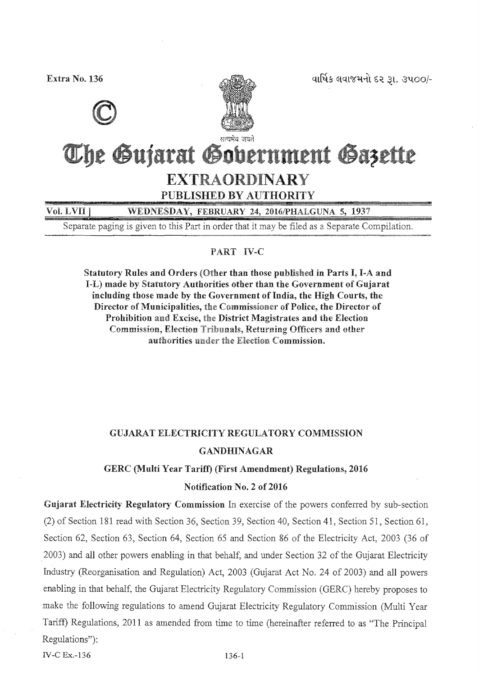વાર્ષિક લવાજમનો દર રૂા. ૩૫૦૦/-

Extra No. 136





# The Gujarat Gobernment Gazette **EXTRAORDINARY** PUBLISHED BY AUTHORITY

Vol. LVII ] WEDNESDAY, FEBRUARY 24, 2016/PHALGUNA 5, 1937

Separate paging is given to this Part in order that it may be filed as a Separate Compilation.

### PART IV-C

Statutory Rules and Orders (Other than those published in Parts I, I-A and I-L) made by Statutory Authorities other than the Government of Gujarat including those made by the Government of India, the High Courts, the Director of Municipalities, the Commissioner of Police, the Director of Prohibition and Excise, the District Magistrates and the Election Commission, Election Tribunals, Returning Officers and other authorities under the Election Commission.

## **GUJARAT ELECTRICITY REGULATORY COMMISSION GANDHINAGAR**

### GERC (Multi Year Tariff) (First Amendment) Regulations, 2016

### Notification No. 2 of 2016

Gujarat Electricity Regulatory Commission In exercise of the powers conferred by sub-section (2) of Section 181 read with Section 36, Section 39, Section 40, Section 41, Section 51, Section 61, Section 62, Section 63, Section 64, Section 65 and Section 86 of the Electricity Act, 2003 (36 of 2003) and all other powers enabling in that behalf, and under Section 32 of the Gujarat Electricity Industry (Reorganisation and Regulation) Act, 2003 (Gujarat Act No. 24 of 2003) and all powers enabling in that behalf, the Gujarat Electricity Regulatory Commission (GERC) hereby proposes to make the following regulations to amend Gujarat Electricity Regulatory Commission (Multi Year Tariff) Regulations, 2011 as amended from time to time (hereinafter referred to as "The Principal Regulations"):

**IV-C Ex.-136**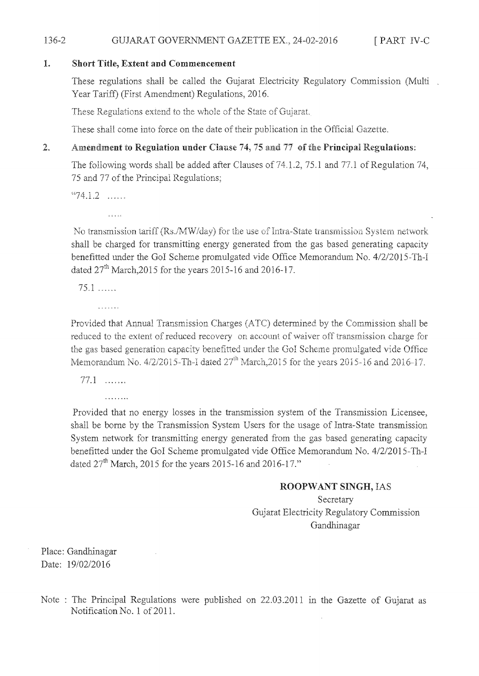#### 136-2 [PART IV-C GUJARAT GOVERNMENT GAZETTE EX., 24-02-2016

#### 1. **Short Title, Extent and Commencement**

These regulations shall be called the Gujarat Electricity Regulatory Commission (Multi Year Tariff) (First Amendment) Regulations, 2016.

These Regulations extend to the whole of the State of Gujarat.

These shall come into force on the date of their publication in the Official Gazette.

#### Amendment to Regulation under Clause 74, 75 and 77 of the Principal Regulations:  $\sum_{n=1}^{\infty}$

The following words shall be added after Clauses of 74.1.2, 75.1 and 77.1 of Regulation 74, 75 and 77 of the Principal Regulations;

 $41.2$  .....

No transmission tariff (Rs./MW/day) for the use of Intra-State transmission System network shall be charged for transmitting energy generated from the gas based generating capacity benefitted under the GoI Scheme promulgated vide Office Memorandum No. 4/2/2015-Th-I dated  $27^{th}$  March, 2015 for the years 2015-16 and 2016-17.

 $75.1$  ......

. . . . . . .

Provided that Annual Transmission Charges (ATC) determined by the Commission shall be reduced to the extent of reduced recovery on account of waiver off transmission charge for the gas based generation capacity benefitted under the GoI Scheme promulgated vide Office Memorandum No.  $4/2/2015$ -Th-I dated  $27<sup>th</sup>$  March, 2015 for the years 2015-16 and 2016-17.

 $77.1$  .......

. . . . . . . .

Provided that no energy losses in the transmission system of the Transmission Licensee, shall be borne by the Transmission System Users for the usage of Intra-State transmission System network for transmitting energy generated from the gas based generating capacity benefitted under the GoI Scheme promulgated vide Office Memorandum No. 4/2/2015-Th-I dated  $27^{th}$  March, 2015 for the years 2015-16 and 2016-17."

### ROOPWANT SINGH, IAS

Secretary Gujarat Electricity Regulatory Commission Gandhinagar

Place: Gandhinagar Date: 19/02/2016

Note : The Principal Regulations were published on 22.03.2011 in the Gazette of Gujarat as Notification No. 1 of 2011.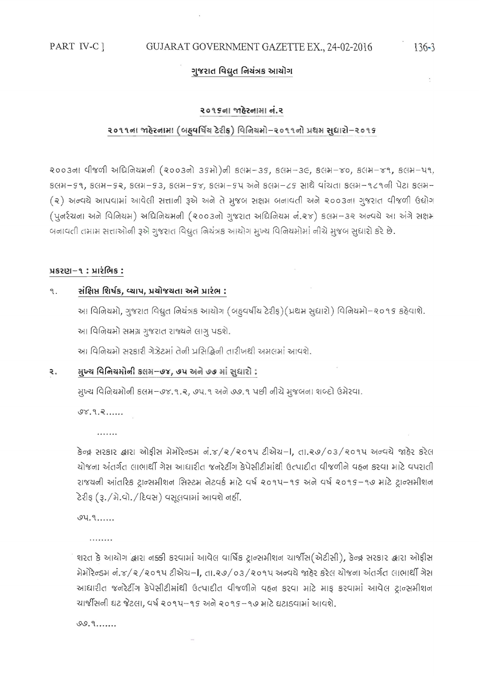### ગુજરાત વિદ્યુત નિચંત્રક આચોગ

#### २०१९ना भाढेरनामा नं.२

#### ૨૦૧૧ના જાઠેરનામા (બહુવર્ષિચ ટેરીફ) વિનિચમો-૨૦૧૧નો પ્રથમ સુધારો-૨૦૧૬

२००३०१ पी४णी अधिनियमनी (२००३नो ३९मो)नी ४तम-३९, ४तम-३૯, ४तम-४०, ४तम-४१, ४तम-५१,  $8$ GH- $59$ ,  $8$ GH- $58$ ,  $8$ GH- $53$ ,  $8$ GH- $58$ ,  $8$ GH- $54$  અને  $8$ GH- $25$  સાથે વાંચતા  $8$ GH- $121$ ની પેટા  $8$ GH-(२) અન્વચે આપવામાં આવેલી સત્તાની રૂએ અને તે મુજબ સક્ષમ બનાવતી અને ૨૦૦૩ના ગુજરાત વીજળી ઉદ્યોગ (પુનર્રચના અને વિનિયમ) અધિનિયમની (૨૦૦૩નો ગુજરાત અધિનિયમ નં.૨૪) કલમ-૩૨ અન્વયે આ અંગે સક્ષમ બનાવતી તમામ સત્તાઓની રૂએ ગુજરાત વિદ્યુત નિયંત્રક આયોગ મુખ્ય વિનિયમોમાં નીચે મુજબ સુધારો કરે છે.

### પ્રકરણ–૧ : પ્રારંભિક :

#### સંક્ષિપ્ત શિર્ષક, વ્યાપ, પ્રચોજચતા અને પ્રારંભ : ٩.

આ વિનિયમો, ગુજરાત વિદ્યુત નિયંત્રક આયોગ (બદુવર્ષીય ટેરીફ)(પ્રથમ સુધારો) વિનિયમો–૨૦૧૬ કઠેવાશે. આ વિનિયમો સમગ્ર ગુજરાત રાજ્યને લાગુ પડશે.

આ વિનિયમો સરકારી ગેઝેટમાં તેની પ્રસિદ્ધિની તારીખથી અમલમાં આવશે.

#### સુખ્ય વિનિયમોની કલમ–૭૪, ૭૫ અને ૭૭ માં સુધારો : ₹.

મુખ્ય વિનિયમોની કલમ–૭૪.૧.૨, ૭૫.૧ અને ૭૭.૧ પછી નીચે મુજબના શબ્દો ઉમેરવા.

 $98.9.8....$ 

 $......$ 

કેન્દ્ર સરકાર દ્વારા ઓફીસ મેમોરેન્ડમ નં.૪/૨/૨૦૧૫ ટીએચ-I, તા.૨૭/૦૩/૨૦૧૫ અન્વચે જાહેર કરેલ ચોજના અંતર્ગત લાભાર્થી ગેસ આધારીત જનરેટીંગ કેપેસીટીમાંથી ઉત્પાદીત વીજળીને વહન કરવા માટે વપરાતી રાજયની આંતરિક ટ્રાન્સમીશન સિસ્ટમ નેટવર્ક માટે વર્ષ ૨૦૧૫–૧૬ અને વર્ષ ૨૦૧૬–૧૭ માટે ટ્રાન્સમીશન ટેરીફ (રૂ./મે.વો./દિવસ) વસૂલવામાં આવશે નહીં.

 $94.9...$ 

 $1.1.1.1.1.1$ 

શરત કે આયોગ લારા નક્કી કરવામાં આવેલ વાર્ષિક ટ્રાન્સમીશન ચાર્જીસ(એટીસી), કેન્દ્ર સરકાર લારા ઓફીસ મેમોરેન્ડમ નં.૪/૨/૨૦૧૫ ટીએચ-I, તા.૨૭/૦૩/૨૦૧૫ અન્વચે જાહેર કરેલ યોજના અંતર્ગત લાભાર્થી ગેસ આધારીત જનરેટીંગ કેપેસીટીમાંથી ઉત્પાદીત વીજળીને વહન કરવા માટે માફ કરવામાં આવેલ ટ્રાન્સમીશન ચાર્જીસની ઘટ જેટલા, વર્ષ ૨૦૧૫–૧૬ અને ૨૦૧૬–૧૭ માટે ઘટાડવામાં આવશે.

 $0.9......$